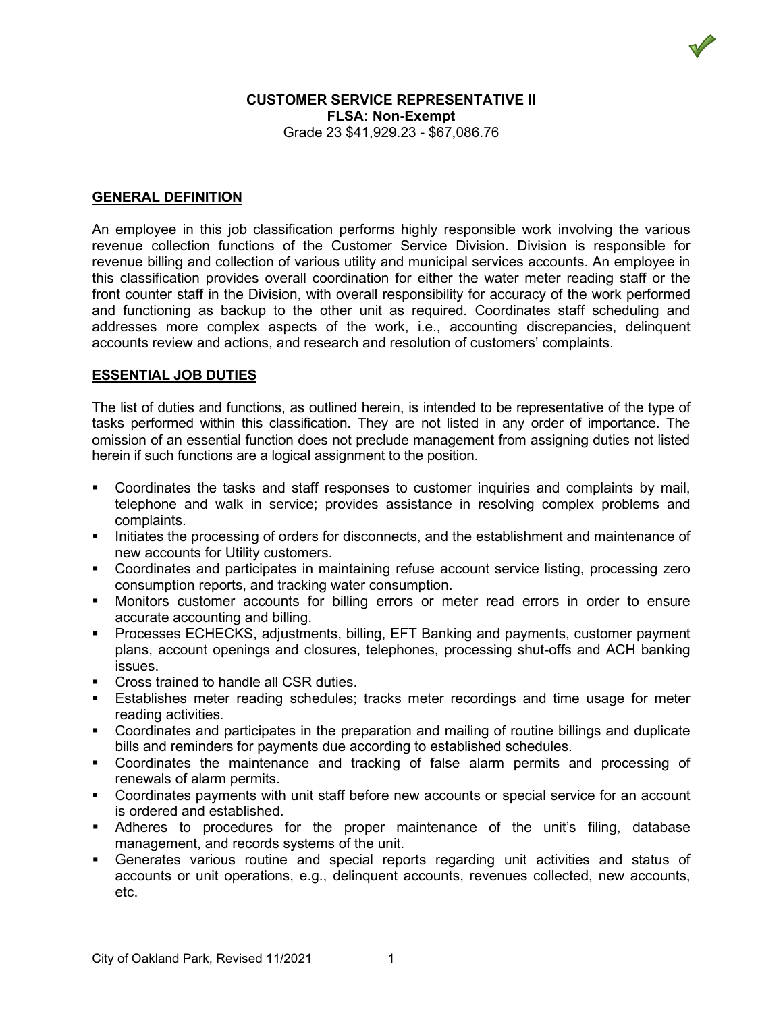## **CUSTOMER SERVICE REPRESENTATIVE II FLSA: Non-Exempt** Grade 23 \$41,929.23 - \$67,086.76

### **GENERAL DEFINITION**

An employee in this job classification performs highly responsible work involving the various revenue collection functions of the Customer Service Division. Division is responsible for revenue billing and collection of various utility and municipal services accounts. An employee in this classification provides overall coordination for either the water meter reading staff or the front counter staff in the Division, with overall responsibility for accuracy of the work performed and functioning as backup to the other unit as required. Coordinates staff scheduling and addresses more complex aspects of the work, i.e., accounting discrepancies, delinquent accounts review and actions, and research and resolution of customers' complaints.

### **ESSENTIAL JOB DUTIES**

The list of duties and functions, as outlined herein, is intended to be representative of the type of tasks performed within this classification. They are not listed in any order of importance. The omission of an essential function does not preclude management from assigning duties not listed herein if such functions are a logical assignment to the position.

- Coordinates the tasks and staff responses to customer inquiries and complaints by mail, telephone and walk in service; provides assistance in resolving complex problems and complaints.
- Initiates the processing of orders for disconnects, and the establishment and maintenance of new accounts for Utility customers.
- Coordinates and participates in maintaining refuse account service listing, processing zero consumption reports, and tracking water consumption.
- Monitors customer accounts for billing errors or meter read errors in order to ensure accurate accounting and billing.
- Processes ECHECKS, adjustments, billing, EFT Banking and payments, customer payment plans, account openings and closures, telephones, processing shut-offs and ACH banking issues.
- **Cross trained to handle all CSR duties.**
- Establishes meter reading schedules; tracks meter recordings and time usage for meter reading activities.
- Coordinates and participates in the preparation and mailing of routine billings and duplicate bills and reminders for payments due according to established schedules.
- Coordinates the maintenance and tracking of false alarm permits and processing of renewals of alarm permits.
- Coordinates payments with unit staff before new accounts or special service for an account is ordered and established.
- Adheres to procedures for the proper maintenance of the unit's filing, database management, and records systems of the unit.
- Generates various routine and special reports regarding unit activities and status of accounts or unit operations, e.g., delinquent accounts, revenues collected, new accounts, etc.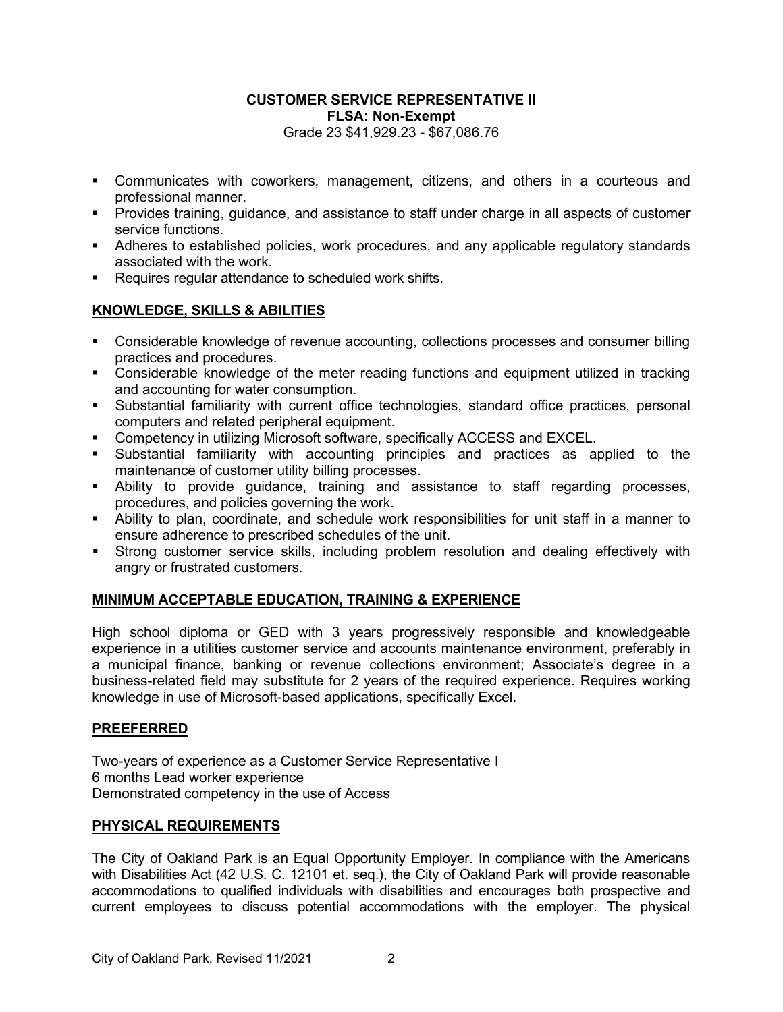## **CUSTOMER SERVICE REPRESENTATIVE II FLSA: Non-Exempt** Grade 23 \$41,929.23 - \$67,086.76

- Communicates with coworkers, management, citizens, and others in a courteous and professional manner.
- Provides training, guidance, and assistance to staff under charge in all aspects of customer service functions.
- Adheres to established policies, work procedures, and any applicable regulatory standards associated with the work.
- Requires regular attendance to scheduled work shifts.

## **KNOWLEDGE, SKILLS & ABILITIES**

- Considerable knowledge of revenue accounting, collections processes and consumer billing practices and procedures.
- Considerable knowledge of the meter reading functions and equipment utilized in tracking and accounting for water consumption.
- Substantial familiarity with current office technologies, standard office practices, personal computers and related peripheral equipment.
- **Competency in utilizing Microsoft software, specifically ACCESS and EXCEL.**
- Substantial familiarity with accounting principles and practices as applied to the maintenance of customer utility billing processes.
- Ability to provide guidance, training and assistance to staff regarding processes, procedures, and policies governing the work.
- Ability to plan, coordinate, and schedule work responsibilities for unit staff in a manner to ensure adherence to prescribed schedules of the unit.
- Strong customer service skills, including problem resolution and dealing effectively with angry or frustrated customers.

# **MINIMUM ACCEPTABLE EDUCATION, TRAINING & EXPERIENCE**

High school diploma or GED with 3 years progressively responsible and knowledgeable experience in a utilities customer service and accounts maintenance environment, preferably in a municipal finance, banking or revenue collections environment; Associate's degree in a business-related field may substitute for 2 years of the required experience. Requires working knowledge in use of Microsoft-based applications, specifically Excel.

## **PREEFERRED**

Two-years of experience as a Customer Service Representative I 6 months Lead worker experience Demonstrated competency in the use of Access

## **PHYSICAL REQUIREMENTS**

The City of Oakland Park is an Equal Opportunity Employer. In compliance with the Americans with Disabilities Act (42 U.S. C. 12101 et. seq.), the City of Oakland Park will provide reasonable accommodations to qualified individuals with disabilities and encourages both prospective and current employees to discuss potential accommodations with the employer. The physical